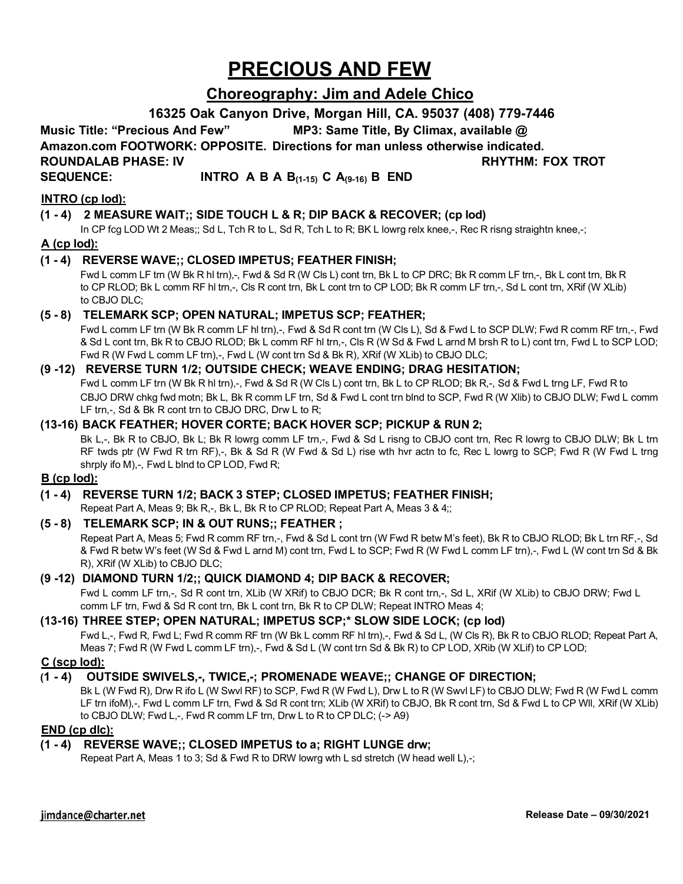# **PRECIOUS AND FEW**

## **Choreography: Jim and Adele Chico**

### **16325 Oak Canyon Drive, Morgan Hill, CA. 95037 (408) 779-7446**

**Music Title: "Precious And Few" MP3: Same Title, By Climax, available @** 

**Amazon.com FOOTWORK: OPPOSITE. Directions for man unless otherwise indicated.**

**ROUNDALAB PHASE: IV RHYTHM: FOX TROT**

### **SEQUENCE: INTRO A B A B(1-15) C A(9-16) B END**

#### **INTRO (cp lod):**

#### **(1 - 4) 2 MEASURE WAIT;; SIDE TOUCH L & R; DIP BACK & RECOVER; (cp lod)**

In CP fcg LOD Wt 2 Meas;; Sd L, Tch R to L, Sd R, Tch L to R; BK L lowrg relx knee,-, Rec R risng straightn knee,-;

#### **A (cp lod):**

#### **(1 - 4) REVERSE WAVE;; CLOSED IMPETUS; FEATHER FINISH;**

Fwd L comm LF trn (W Bk R hl trn),-, Fwd & Sd R (W Cls L) cont trn, Bk L to CP DRC; Bk R comm LF trn,-, Bk L cont trn, Bk R to CP RLOD; Bk L comm RF hl trn,-, Cls R cont trn, Bk L cont trn to CP LOD; Bk R comm LF trn,-, Sd L cont trn, XRif (W XLib) to CBJO DLC;

#### **(5 - 8) TELEMARK SCP; OPEN NATURAL; IMPETUS SCP; FEATHER;**

Fwd L comm LF trn (W Bk R comm LF hl trn),-, Fwd & Sd R cont trn (W Cls L), Sd & Fwd L to SCP DLW; Fwd R comm RF trn,-, Fwd & Sd L cont trn, Bk R to CBJO RLOD; Bk L comm RF hl trn,-, Cls R (W Sd & Fwd L arnd M brsh R to L) cont trn, Fwd L to SCP LOD; Fwd R (W Fwd L comm LF trn),-, Fwd L (W cont trn Sd & Bk R), XRif (W XLib) to CBJO DLC;

#### **(9 -12) REVERSE TURN 1/2; OUTSIDE CHECK; WEAVE ENDING; DRAG HESITATION;**

Fwd L comm LF trn (W Bk R hl trn),-, Fwd & Sd R (W Cls L) cont trn, Bk L to CP RLOD; Bk R,-, Sd & Fwd L trng LF, Fwd R to CBJO DRW chkg fwd motn; Bk L, Bk R comm LF trn, Sd & Fwd L cont trn blnd to SCP, Fwd R (W Xlib) to CBJO DLW; Fwd L comm LF trn,-, Sd & Bk R cont trn to CBJO DRC, Drw L to R;

#### **(13-16) BACK FEATHER; HOVER CORTE; BACK HOVER SCP; PICKUP & RUN 2;**

Bk L,-, Bk R to CBJO, Bk L; Bk R lowrg comm LF trn,-, Fwd & Sd L risng to CBJO cont trn, Rec R lowrg to CBJO DLW; Bk L trn RF twds ptr (W Fwd R trn RF),-, Bk & Sd R (W Fwd & Sd L) rise wth hvr actn to fc, Rec L lowrg to SCP; Fwd R (W Fwd L trng shrply ifo M),-, Fwd L blnd to CP LOD, Fwd R;

#### **B (cp lod):**

#### **(1 - 4) REVERSE TURN 1/2; BACK 3 STEP; CLOSED IMPETUS; FEATHER FINISH;**

Repeat Part A, Meas 9; Bk R,-, Bk L, Bk R to CP RLOD; Repeat Part A, Meas 3 & 4;;

#### **(5 - 8) TELEMARK SCP; IN & OUT RUNS;; FEATHER ;**

Repeat Part A, Meas 5; Fwd R comm RF trn,-, Fwd & Sd L cont trn (W Fwd R betw M's feet), Bk R to CBJO RLOD; Bk L trn RF,-, Sd & Fwd R betw W's feet (W Sd & Fwd L arnd M) cont trn, Fwd L to SCP; Fwd R (W Fwd L comm LF trn),-, Fwd L (W cont trn Sd & Bk R), XRif (W XLib) to CBJO DLC;

#### **(9 -12) DIAMOND TURN 1/2;; QUICK DIAMOND 4; DIP BACK & RECOVER;**

Fwd L comm LF trn,-, Sd R cont trn, XLib (W XRif) to CBJO DCR; Bk R cont trn,-, Sd L, XRif (W XLib) to CBJO DRW; Fwd L comm LF trn, Fwd & Sd R cont trn, Bk L cont trn, Bk R to CP DLW; Repeat INTRO Meas 4;

#### **(13-16) THREE STEP; OPEN NATURAL; IMPETUS SCP;\* SLOW SIDE LOCK; (cp lod)**

Fwd L<sub>1</sub>-, Fwd R, Fwd L; Fwd R comm RF trn (W Bk L comm RF hl trn),-, Fwd & Sd L, (W Cls R), Bk R to CBJO RLOD; Repeat Part A, Meas 7; Fwd R (W Fwd L comm LF trn),-, Fwd & Sd L (W cont trn Sd & Bk R) to CP LOD, XRib (W XLif) to CP LOD;

#### **C (scp lod):**

#### **(1 - 4) OUTSIDE SWIVELS,-, TWICE,-; PROMENADE WEAVE;; CHANGE OF DIRECTION;**

Bk L (W Fwd R), Drw R ifo L (W Swvl RF) to SCP, Fwd R (W Fwd L), Drw L to R (W Swvl LF) to CBJO DLW; Fwd R (W Fwd L comm LF trn ifoM),-, Fwd L comm LF trn, Fwd & Sd R cont trn; XLib (W XRif) to CBJO, Bk R cont trn, Sd & Fwd L to CP Wll, XRif (W XLib) to CBJO DLW; Fwd L,-, Fwd R comm LF trn, Drw L to R to CP DLC; (-> A9)

#### **END (cp dlc):**

## **(1 - 4) REVERSE WAVE;; CLOSED IMPETUS to a; RIGHT LUNGE drw;**

Repeat Part A, Meas 1 to 3; Sd & Fwd R to DRW lowrg wth L sd stretch (W head well L),-;